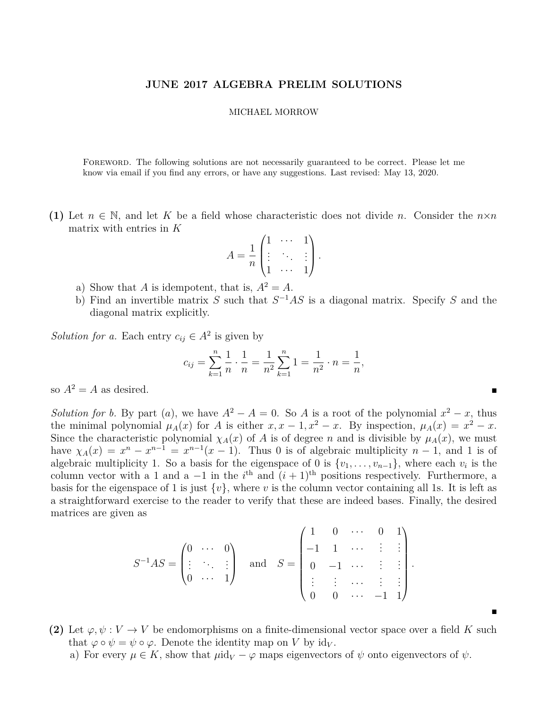## **JUNE 2017 ALGEBRA PRELIM SOLUTIONS**

## MICHAEL MORROW

Foreword. The following solutions are not necessarily guaranteed to be correct. Please let me know via email if you find any errors, or have any suggestions. Last revised: May 13, 2020.

**(1)** Let  $n \in \mathbb{N}$ , and let K be a field whose characteristic does not divide *n*. Consider the  $n \times n$ matrix with entries in *K*

$$
A = \frac{1}{n} \begin{pmatrix} 1 & \cdots & 1 \\ \vdots & \ddots & \vdots \\ 1 & \cdots & 1 \end{pmatrix}.
$$

- a) Show that *A* is idempotent, that is,  $A^2 = A$ .
- b) Find an invertible matrix *S* such that *S* <sup>−</sup><sup>1</sup>*AS* is a diagonal matrix. Specify *S* and the diagonal matrix explicitly.

*Solution for a.* Each entry  $c_{ij} \in A^2$  is given by

$$
c_{ij} = \sum_{k=1}^{n} \frac{1}{n} \cdot \frac{1}{n} = \frac{1}{n^2} \sum_{k=1}^{n} 1 = \frac{1}{n^2} \cdot n = \frac{1}{n},
$$

so  $A^2 = A$  as desired.

*Solution for b.* By part (*a*), we have  $A^2 - A = 0$ . So *A* is a root of the polynomial  $x^2 - x$ , thus the minimal polynomial  $\mu_A(x)$  for *A* is either  $x, x - 1, x^2 - x$ . By inspection,  $\mu_A(x) = x^2 - x$ . Since the characteristic polynomial  $\chi_A(x)$  of *A* is of degree *n* and is divisible by  $\mu_A(x)$ , we must have  $\chi_A(x) = x^n - x^{n-1} = x^{n-1}(x-1)$ . Thus 0 is of algebraic multiplicity  $n-1$ , and 1 is of algebraic multiplicity 1. So a basis for the eigenspace of 0 is  $\{v_1, \ldots, v_{n-1}\}$ , where each  $v_i$  is the column vector with a 1 and a  $-1$  in the  $i<sup>th</sup>$  and  $(i + 1)<sup>th</sup>$  positions respectively. Furthermore, a basis for the eigenspace of 1 is just  $\{v\}$ , where *v* is the column vector containing all 1s. It is left as a straightforward exercise to the reader to verify that these are indeed bases. Finally, the desired matrices are given as

$$
S^{-1}AS = \begin{pmatrix} 0 & \cdots & 0 \\ \vdots & \ddots & \vdots \\ 0 & \cdots & 1 \end{pmatrix} \text{ and } S = \begin{pmatrix} 1 & 0 & \cdots & 0 & 1 \\ -1 & 1 & \cdots & \vdots & \vdots \\ 0 & -1 & \cdots & \vdots & \vdots \\ \vdots & \vdots & \cdots & \vdots & \vdots \\ 0 & 0 & \cdots & -1 & 1 \end{pmatrix}.
$$

**(2)** Let  $\varphi, \psi : V \to V$  be endomorphisms on a finite-dimensional vector space over a field K such that  $\varphi \circ \psi = \psi \circ \varphi$ . Denote the identity map on *V* by id<sub>*V*</sub>.

 $\blacksquare$ 

a) For every  $\mu \in K$ , show that  $\mu id_V - \varphi$  maps eigenvectors of  $\psi$  onto eigenvectors of  $\psi$ .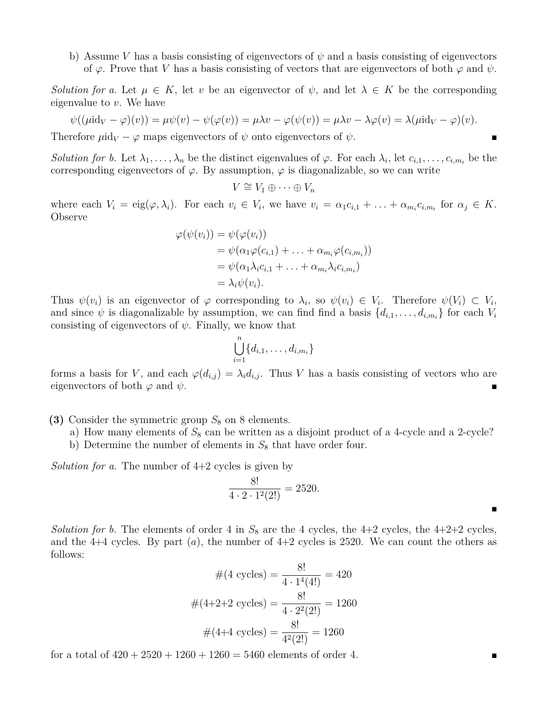b) Assume *V* has a basis consisting of eigenvectors of  $\psi$  and a basis consisting of eigenvectors of  $\varphi$ . Prove that *V* has a basis consisting of vectors that are eigenvectors of both  $\varphi$  and  $\psi$ .

*Solution for a.* Let  $\mu \in K$ , let *v* be an eigenvector of  $\psi$ , and let  $\lambda \in K$  be the corresponding eigenvalue to *v*. We have

$$
\psi((\mu id_V - \varphi)(v)) = \mu \psi(v) - \psi(\varphi(v)) = \mu \lambda v - \varphi(\psi(v)) = \mu \lambda v - \lambda \varphi(v) = \lambda(\mu id_V - \varphi)(v).
$$

Therefore  $\mu$ id<sub>*V*</sub> –  $\varphi$  maps eigenvectors of  $\psi$  onto eigenvectors of  $\psi$ .

*Solution for b.* Let  $\lambda_1, \ldots, \lambda_n$  be the distinct eigenvalues of  $\varphi$ . For each  $\lambda_i$ , let  $c_{i,1}, \ldots, c_{i,m_i}$  be the corresponding eigenvectors of  $\varphi$ . By assumption,  $\varphi$  is diagonalizable, so we can write

$$
V \cong V_1 \oplus \cdots \oplus V_n
$$

where each  $V_i = eig(\varphi, \lambda_i)$ . For each  $v_i \in V_i$ , we have  $v_i = \alpha_1 c_{i,1} + \ldots + \alpha_{m_i} c_{i,m_i}$  for  $\alpha_j \in K$ . Observe

$$
\varphi(\psi(v_i)) = \psi(\varphi(v_i))
$$
  
=  $\psi(\alpha_1 \varphi(c_{i,1}) + \ldots + \alpha_{m_i} \varphi(c_{i,m_i}))$   
=  $\psi(\alpha_1 \lambda_i c_{i,1} + \ldots + \alpha_{m_i} \lambda_i c_{i,m_i})$   
=  $\lambda_i \psi(v_i).$ 

Thus  $\psi(v_i)$  is an eigenvector of  $\varphi$  corresponding to  $\lambda_i$ , so  $\psi(v_i) \in V_i$ . Therefore  $\psi(V_i) \subset V_i$ , and since  $\psi$  is diagonalizable by assumption, we can find find a basis  $\{d_{i,1}, \ldots, d_{i,m_i}\}$  for each  $V_i$ consisting of eigenvectors of  $\psi$ . Finally, we know that

$$
\bigcup_{i=1}^n \{d_{i,1},\ldots,d_{i,m_i}\}
$$

forms a basis for *V*, and each  $\varphi(d_{i,j}) = \lambda_i d_{i,j}$ . Thus *V* has a basis consisting of vectors who are eigenvectors of both  $\varphi$  and  $\psi$ .

- **(3)** Consider the symmetric group  $S_8$  on 8 elements.
	- a) How many elements of  $S_8$  can be written as a disjoint product of a 4-cycle and a 2-cycle?
	- b) Determine the number of elements in  $S_8$  that have order four.

*Solution for a.* The number of 4+2 cycles is given by

$$
\frac{8!}{4 \cdot 2 \cdot 1^2(2!)} = 2520.
$$

*Solution for b.* The elements of order 4 in  $S_8$  are the 4 cycles, the 4+2 cycles, the 4+2+2 cycles, and the  $4+4$  cycles. By part  $(a)$ , the number of  $4+2$  cycles is 2520. We can count the others as follows:

$$
\#(4 \text{ cycles}) = \frac{8!}{4 \cdot 1^4(4!)} = 420
$$

$$
\#(4+2+2 \text{ cycles}) = \frac{8!}{4 \cdot 2^2(2!)} = 1260
$$

$$
\#(4+4 \text{ cycles}) = \frac{8!}{4^2(2!)} = 1260
$$

for a total of  $420 + 2520 + 1260 + 1260 = 5460$  elements of order 4.

 $\blacksquare$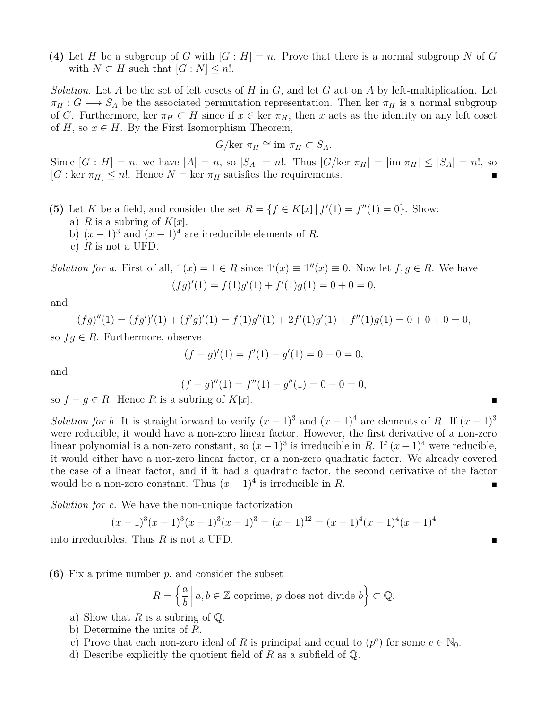(4) Let *H* be a subgroup of *G* with  $[G : H] = n$ . Prove that there is a normal subgroup *N* of *G* with  $N \subset H$  such that  $[G : N] \leq n!$ .

*Solution.* Let *A* be the set of left cosets of *H* in *G*, and let *G* act on *A* by left-multiplication. Let  $\pi_H : G \longrightarrow S_A$  be the associated permutation representation. Then ker  $\pi_H$  is a normal subgroup of *G*. Furthermore, ker  $\pi_H \subset H$  since if  $x \in \text{ker } \pi_H$ , then *x* acts as the identity on any left coset of  $H$ , so  $x \in H$ . By the First Isomorphism Theorem,

$$
G/\text{ker }\pi_H \cong \text{im }\pi_H \subset S_A.
$$

Since  $[G : H] = n$ , we have  $|A| = n$ , so  $|S_A| = n!$ . Thus  $|G/\text{ker } \pi_H| = |\text{im } \pi_H| \leq |S_A| = n!$ , so  $[G: \text{ker } \pi_H] \leq n!$ . Hence  $N = \text{ker } \pi_H$  satisfies the requirements.

- (5) Let *K* be a field, and consider the set  $R = \{f \in K[x] | f'(1) = f''(1) = 0\}$ . Show:
	- a) *R* is a subring of  $K[x]$ .
	- b)  $(x-1)^3$  and  $(x-1)^4$  are irreducible elements of *R*.
	- c) *R* is not a UFD.

*Solution for a.* First of all,  $\mathbb{1}(x) = 1 \in R$  since  $\mathbb{1}'(x) \equiv \mathbb{1}''(x) \equiv 0$ . Now let  $f, g \in R$ . We have  $(fg)'(1) = f(1)g'(1) + f'(1)g(1) = 0 + 0 = 0,$ 

and

$$
(fg)''(1) = (fg')'(1) + (f'g)'(1) = f(1)g''(1) + 2f'(1)g'(1) + f''(1)g(1) = 0 + 0 + 0 = 0,
$$

so  $fg \in R$ . Furthermore, observe

$$
(f - g)'(1) = f'(1) - g'(1) = 0 - 0 = 0,
$$

and

$$
(f - g)''(1) = f''(1) - g''(1) = 0 - 0 = 0,
$$

so  $f - g \in R$ . Hence *R* is a subring of *K*[*x*].

*Solution for b.* It is straightforward to verify  $(x - 1)^3$  and  $(x - 1)^4$  are elements of *R*. If  $(x - 1)^3$ were reducible, it would have a non-zero linear factor. However, the first derivative of a non-zero linear polynomial is a non-zero constant, so  $(x-1)^3$  is irreducible in *R*. If  $(x-1)^4$  were reducible, it would either have a non-zero linear factor, or a non-zero quadratic factor. We already covered the case of a linear factor, and if it had a quadratic factor, the second derivative of the factor would be a non-zero constant. Thus  $(x-1)^4$  is irreducible in *R*.

*Solution for c.* We have the non-unique factorization

$$
(x-1)^3(x-1)^3(x-1)^3(x-1)^3 = (x-1)^{12} = (x-1)^4(x-1)^4(x-1)^4
$$

into irreducibles. Thus *R* is not a UFD.

**(6)** Fix a prime number *p*, and consider the subset

$$
R = \left\{ \frac{a}{b} \, \middle| \, a, b \in \mathbb{Z} \text{ coprime, } p \text{ does not divide } b \right\} \subset \mathbb{Q}.
$$

- a) Show that *R* is a subring of  $\mathbb{Q}$ .
- b) Determine the units of *R*.
- c) Prove that each non-zero ideal of R is principal and equal to  $(p^e)$  for some  $e \in \mathbb{N}_0$ .
- d) Describe explicitly the quotient field of *R* as a subfield of Q.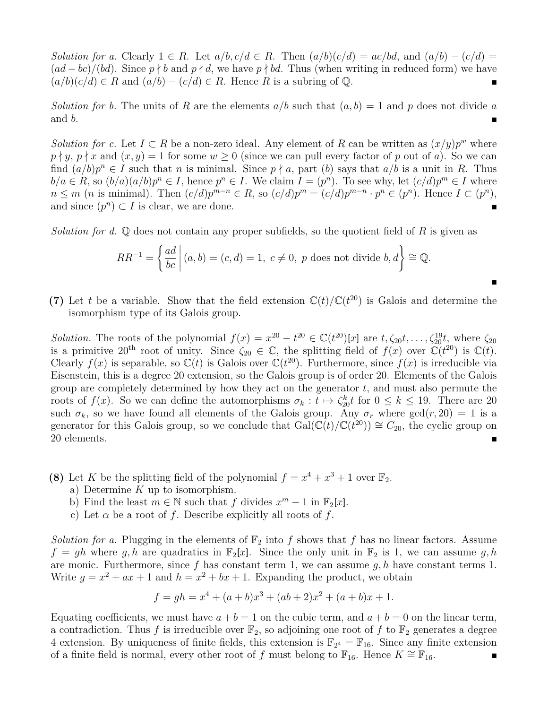*Solution for a.* Clearly  $1 \in R$ . Let  $a/b, c/d \in R$ . Then  $(a/b)(c/d) = ac/bd$ , and  $(a/b) - (c/d) =$  $(ad - bc)/(bd)$ . Since  $p \nmid b$  and  $p \nmid d$ , we have  $p \nmid bd$ . Thus (when writing in reduced form) we have  $(a/b)(c/d) \in R$  and  $(a/b) - (c/d) \in R$ . Hence R is a subring of Q.

*Solution for b.* The units of *R* are the elements  $a/b$  such that  $(a, b) = 1$  and *p* does not divide *a* and *b*.

*Solution for c.* Let  $I \subset R$  be a non-zero ideal. Any element of R can be written as  $(x/y)p^w$  where  $p \nmid y, p \nmid x$  and  $(x, y) = 1$  for some  $w \ge 0$  (since we can pull every factor of *p* out of *a*). So we can find  $(a/b)p^n \in I$  such that *n* is minimal. Since  $p \nmid a$ , part (*b*) says that  $a/b$  is a unit in *R*. Thus  $b/a \in R$ , so  $(b/a)(a/b)p^n \in I$ , hence  $p^n \in I$ . We claim  $I = (p^n)$ . To see why, let  $(c/d)p^m \in I$  where  $n \leq m$  (*n* is minimal). Then  $(c/d)p^{m-n} \in R$ , so  $(c/d)p^m = (c/d)p^{m-n} \cdot p^n \in (p^n)$ . Hence  $I \subset (p^n)$ , and since  $(p^n) \subset I$  is clear, we are done.

*Solution for d.* Q does not contain any proper subfields, so the quotient field of *R* is given as

$$
RR^{-1} = \left\{ \frac{ad}{bc} \middle| (a, b) = (c, d) = 1, \ c \neq 0, \ p \text{ does not divide } b, d \right\} \cong \mathbb{Q}.
$$

 $\blacksquare$ 

(7) Let *t* be a variable. Show that the field extension  $\mathbb{C}(t)/\mathbb{C}(t^{20})$  is Galois and determine the isomorphism type of its Galois group.

*Solution.* The roots of the polynomial  $f(x) = x^{20} - t^{20} \in \mathbb{C}(t^{20})[x]$  are  $t, \zeta_{20}t, \ldots, \zeta_{20}^{19}t$ , where  $\zeta_{20}$ is a primitive 20<sup>th</sup> root of unity. Since  $\zeta_{20} \in \mathbb{C}$ , the splitting field of  $f(x)$  over  $\mathbb{C}(t^{20})$  is  $\mathbb{C}(t)$ . Clearly  $f(x)$  is separable, so  $\mathbb{C}(t)$  is Galois over  $\mathbb{C}(t^{20})$ . Furthermore, since  $f(x)$  is irreducible via Eisenstein, this is a degree 20 extension, so the Galois group is of order 20. Elements of the Galois group are completely determined by how they act on the generator *t*, and must also permute the roots of  $f(x)$ . So we can define the automorphisms  $\sigma_k : t \mapsto \zeta_{20}^k t$  for  $0 \leq k \leq 19$ . There are 20 such  $\sigma_k$ , so we have found all elements of the Galois group. Any  $\sigma_r$  where  $gcd(r, 20) = 1$  is a generator for this Galois group, so we conclude that  $Gal(\mathbb{C}(t)/\mathbb{C}(t^{20})) \cong C_{20}$ , the cyclic group on 20 elements.

- **(8)** Let *K* be the splitting field of the polynomial  $f = x^4 + x^3 + 1$  over  $\mathbb{F}_2$ .
	- a) Determine *K* up to isomorphism.
	- b) Find the least  $m \in \mathbb{N}$  such that  $f$  divides  $x^m 1$  in  $\mathbb{F}_2[x]$ .
	- c) Let  $\alpha$  be a root of  $f$ . Describe explicitly all roots of  $f$ .

*Solution for a.* Plugging in the elements of  $\mathbb{F}_2$  into f shows that f has no linear factors. Assume  $f = gh$  where  $g, h$  are quadratics in  $\mathbb{F}_2[x]$ . Since the only unit in  $\mathbb{F}_2$  is 1, we can assume  $g, h$ are monic. Furthermore, since *f* has constant term 1, we can assume *g, h* have constant terms 1. Write  $g = x^2 + ax + 1$  and  $h = x^2 + bx + 1$ . Expanding the product, we obtain

$$
f = gh = x4 + (a + b)x3 + (ab + 2)x2 + (a + b)x + 1.
$$

Equating coefficients, we must have  $a + b = 1$  on the cubic term, and  $a + b = 0$  on the linear term, a contradiction. Thus f is irreducible over  $\mathbb{F}_2$ , so adjoining one root of f to  $\mathbb{F}_2$  generates a degree 4 extension. By uniqueness of finite fields, this extension is  $\mathbb{F}_{2^4} = \mathbb{F}_{16}$ . Since any finite extension of a finite field is normal, every other root of *f* must belong to  $\mathbb{F}_{16}$ . Hence  $K \cong \mathbb{F}_{16}$ .